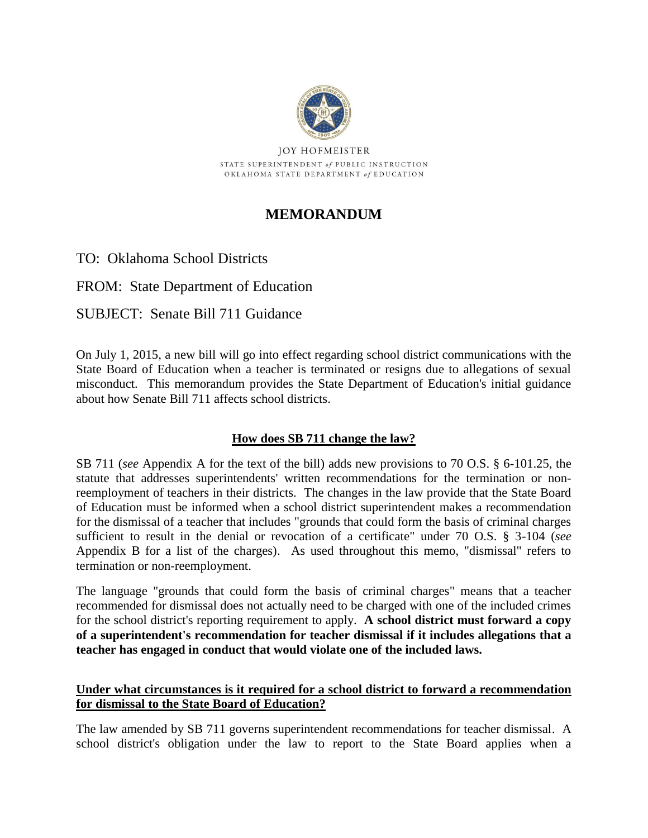

**JOY HOFMEISTER** STATE SUPERINTENDENT of PUBLIC INSTRUCTION OKLAHOMA STATE DEPARTMENT of EDUCATION

# **MEMORANDUM**

TO: Oklahoma School Districts

FROM: State Department of Education

## SUBJECT: Senate Bill 711 Guidance

On July 1, 2015, a new bill will go into effect regarding school district communications with the State Board of Education when a teacher is terminated or resigns due to allegations of sexual misconduct. This memorandum provides the State Department of Education's initial guidance about how Senate Bill 711 affects school districts.

## **How does SB 711 change the law?**

SB 711 (*see* Appendix A for the text of the bill) adds new provisions to 70 O.S. § 6-101.25, the statute that addresses superintendents' written recommendations for the termination or nonreemployment of teachers in their districts. The changes in the law provide that the State Board of Education must be informed when a school district superintendent makes a recommendation for the dismissal of a teacher that includes "grounds that could form the basis of criminal charges sufficient to result in the denial or revocation of a certificate" under 70 O.S. § 3-104 (*see*  Appendix B for a list of the charges). As used throughout this memo, "dismissal" refers to termination or non-reemployment.

The language "grounds that could form the basis of criminal charges" means that a teacher recommended for dismissal does not actually need to be charged with one of the included crimes for the school district's reporting requirement to apply. **A school district must forward a copy of a superintendent's recommendation for teacher dismissal if it includes allegations that a teacher has engaged in conduct that would violate one of the included laws.**

### **Under what circumstances is it required for a school district to forward a recommendation for dismissal to the State Board of Education?**

The law amended by SB 711 governs superintendent recommendations for teacher dismissal. A school district's obligation under the law to report to the State Board applies when a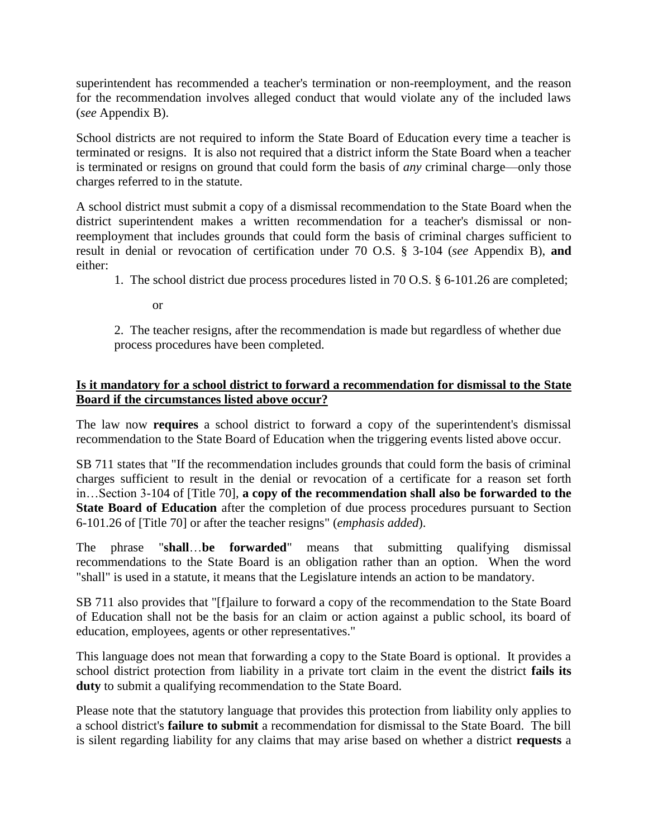superintendent has recommended a teacher's termination or non-reemployment, and the reason for the recommendation involves alleged conduct that would violate any of the included laws (*see* Appendix B).

School districts are not required to inform the State Board of Education every time a teacher is terminated or resigns. It is also not required that a district inform the State Board when a teacher is terminated or resigns on ground that could form the basis of *any* criminal charge—only those charges referred to in the statute.

A school district must submit a copy of a dismissal recommendation to the State Board when the district superintendent makes a written recommendation for a teacher's dismissal or nonreemployment that includes grounds that could form the basis of criminal charges sufficient to result in denial or revocation of certification under 70 O.S. § 3-104 (*see* Appendix B), **and**  either:

1. The school district due process procedures listed in 70 O.S. § 6-101.26 are completed;

or

2. The teacher resigns, after the recommendation is made but regardless of whether due process procedures have been completed.

## **Is it mandatory for a school district to forward a recommendation for dismissal to the State Board if the circumstances listed above occur?**

The law now **requires** a school district to forward a copy of the superintendent's dismissal recommendation to the State Board of Education when the triggering events listed above occur.

SB 711 states that "If the recommendation includes grounds that could form the basis of criminal charges sufficient to result in the denial or revocation of a certificate for a reason set forth in…Section 3-104 of [Title 70], **a copy of the recommendation shall also be forwarded to the State Board of Education** after the completion of due process procedures pursuant to Section 6-101.26 of [Title 70] or after the teacher resigns" (*emphasis added*).

The phrase "**shall**…**be forwarded**" means that submitting qualifying dismissal recommendations to the State Board is an obligation rather than an option. When the word "shall" is used in a statute, it means that the Legislature intends an action to be mandatory.

SB 711 also provides that "[f]ailure to forward a copy of the recommendation to the State Board of Education shall not be the basis for an claim or action against a public school, its board of education, employees, agents or other representatives."

This language does not mean that forwarding a copy to the State Board is optional. It provides a school district protection from liability in a private tort claim in the event the district **fails its duty** to submit a qualifying recommendation to the State Board.

Please note that the statutory language that provides this protection from liability only applies to a school district's **failure to submit** a recommendation for dismissal to the State Board. The bill is silent regarding liability for any claims that may arise based on whether a district **requests** a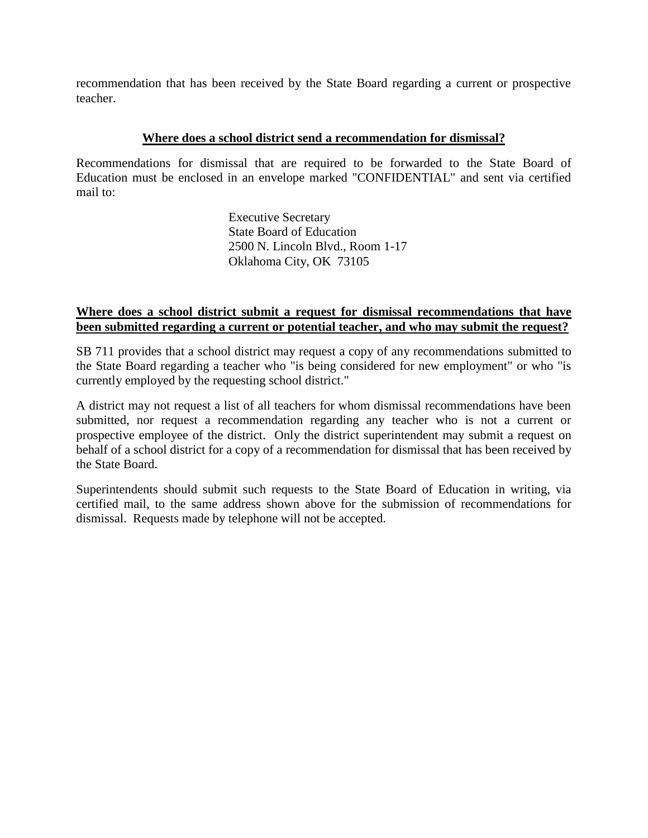recommendation that has been received by the State Board regarding a current or prospective teacher.

#### **Where does a school district send a recommendation for dismissal?**

Recommendations for dismissal that are required to be forwarded to the State Board of Education must be enclosed in an envelope marked "CONFIDENTIAL" and sent via certified mail to:

> Executive Secretary State Board of Education 2500 N. Lincoln Blvd., Room 1-17 Oklahoma City, OK 73105

#### **Where does a school district submit a request for dismissal recommendations that have been submitted regarding a current or potential teacher, and who may submit the request?**

SB 711 provides that a school district may request a copy of any recommendations submitted to the State Board regarding a teacher who "is being considered for new employment" or who "is currently employed by the requesting school district."

A district may not request a list of all teachers for whom dismissal recommendations have been submitted, nor request a recommendation regarding any teacher who is not a current or prospective employee of the district. Only the district superintendent may submit a request on behalf of a school district for a copy of a recommendation for dismissal that has been received by the State Board.

Superintendents should submit such requests to the State Board of Education in writing, via certified mail, to the same address shown above for the submission of recommendations for dismissal. Requests made by telephone will not be accepted.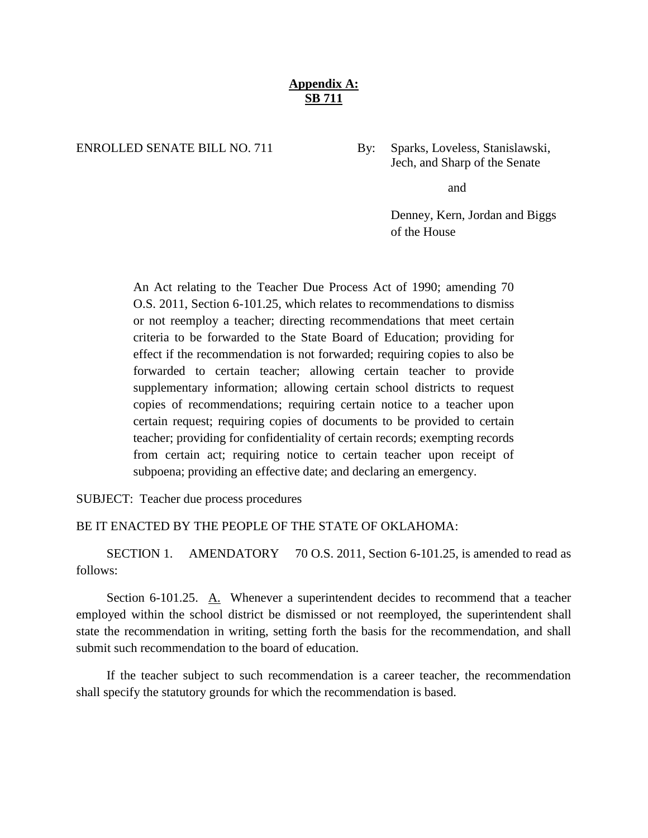### **Appendix A: SB 711**

#### ENROLLED SENATE BILL NO. 711 By: Sparks, Loveless, Stanislawski,

Jech, and Sharp of the Senate

and

Denney, Kern, Jordan and Biggs of the House

An Act relating to the Teacher Due Process Act of 1990; amending 70 O.S. 2011, Section 6-101.25, which relates to recommendations to dismiss or not reemploy a teacher; directing recommendations that meet certain criteria to be forwarded to the State Board of Education; providing for effect if the recommendation is not forwarded; requiring copies to also be forwarded to certain teacher; allowing certain teacher to provide supplementary information; allowing certain school districts to request copies of recommendations; requiring certain notice to a teacher upon certain request; requiring copies of documents to be provided to certain teacher; providing for confidentiality of certain records; exempting records from certain act; requiring notice to certain teacher upon receipt of subpoena; providing an effective date; and declaring an emergency.

SUBJECT: Teacher due process procedures

#### BE IT ENACTED BY THE PEOPLE OF THE STATE OF OKLAHOMA:

SECTION 1. AMENDATORY 70 O.S. 2011, Section 6-101.25, is amended to read as follows:

Section 6-101.25. A. Whenever a superintendent decides to recommend that a teacher employed within the school district be dismissed or not reemployed, the superintendent shall state the recommendation in writing, setting forth the basis for the recommendation, and shall submit such recommendation to the board of education.

If the teacher subject to such recommendation is a career teacher, the recommendation shall specify the statutory grounds for which the recommendation is based.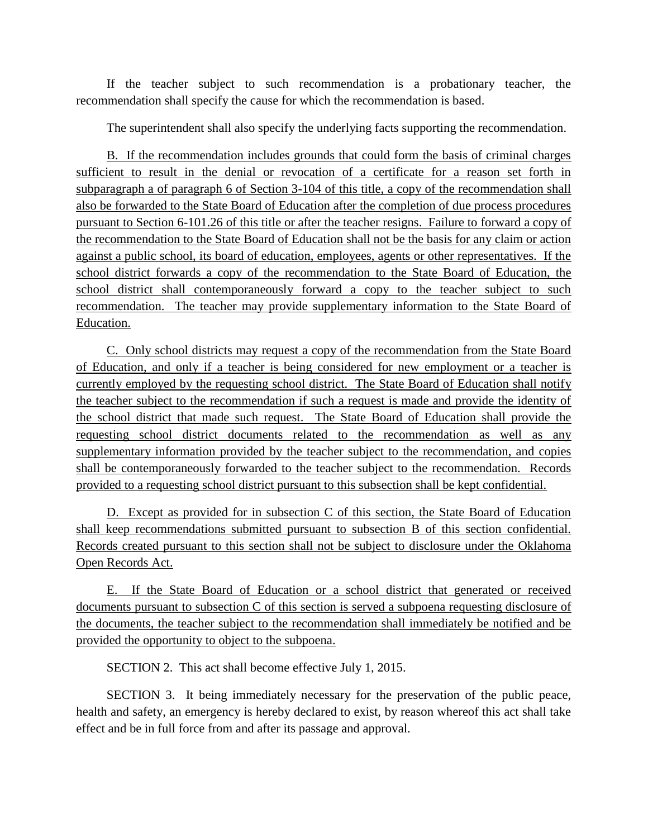If the teacher subject to such recommendation is a probationary teacher, the recommendation shall specify the cause for which the recommendation is based.

The superintendent shall also specify the underlying facts supporting the recommendation.

B. If the recommendation includes grounds that could form the basis of criminal charges sufficient to result in the denial or revocation of a certificate for a reason set forth in subparagraph a of paragraph 6 of Section 3-104 of this title, a copy of the recommendation shall also be forwarded to the State Board of Education after the completion of due process procedures pursuant to Section 6-101.26 of this title or after the teacher resigns. Failure to forward a copy of the recommendation to the State Board of Education shall not be the basis for any claim or action against a public school, its board of education, employees, agents or other representatives. If the school district forwards a copy of the recommendation to the State Board of Education, the school district shall contemporaneously forward a copy to the teacher subject to such recommendation. The teacher may provide supplementary information to the State Board of Education.

C. Only school districts may request a copy of the recommendation from the State Board of Education, and only if a teacher is being considered for new employment or a teacher is currently employed by the requesting school district. The State Board of Education shall notify the teacher subject to the recommendation if such a request is made and provide the identity of the school district that made such request. The State Board of Education shall provide the requesting school district documents related to the recommendation as well as any supplementary information provided by the teacher subject to the recommendation, and copies shall be contemporaneously forwarded to the teacher subject to the recommendation. Records provided to a requesting school district pursuant to this subsection shall be kept confidential.

D. Except as provided for in subsection C of this section, the State Board of Education shall keep recommendations submitted pursuant to subsection B of this section confidential. Records created pursuant to this section shall not be subject to disclosure under the Oklahoma Open Records Act.

E. If the State Board of Education or a school district that generated or received documents pursuant to subsection C of this section is served a subpoena requesting disclosure of the documents, the teacher subject to the recommendation shall immediately be notified and be provided the opportunity to object to the subpoena.

SECTION 2. This act shall become effective July 1, 2015.

SECTION 3. It being immediately necessary for the preservation of the public peace, health and safety, an emergency is hereby declared to exist, by reason whereof this act shall take effect and be in full force from and after its passage and approval.